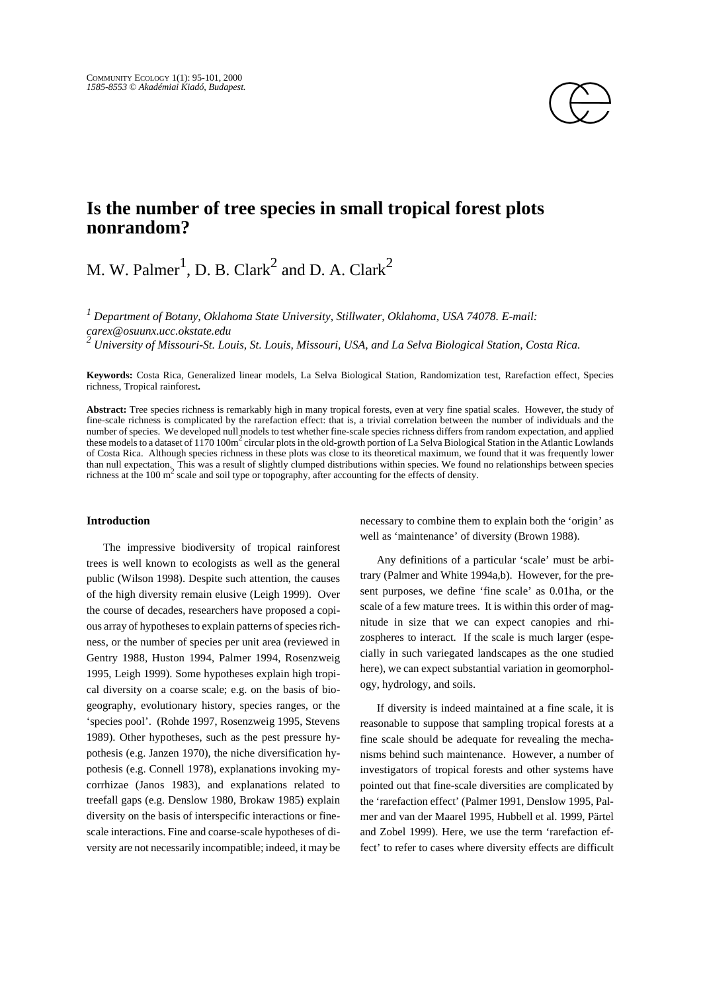

# **Is the number of tree species in small tropical forest plots nonrandom?**

# M. W. Palmer<sup>1</sup>, D. B. Clark<sup>2</sup> and D. A. Clark<sup>2</sup>

*<sup>1</sup> Department of Botany, Oklahoma State University, Stillwater, Oklahoma, USA 74078. E-mail: carex@osuunx.ucc.okstate.edu*

*<sup>2</sup> University of Missouri-St. Louis, St. Louis, Missouri, USA, and La Selva Biological Station, Costa Rica.*

**Keywords:** Costa Rica, Generalized linear models, La Selva Biological Station, Randomization test, Rarefaction effect, Species richness, Tropical rainforest**.**

**Abstract:** Tree species richness is remarkably high in many tropical forests, even at very fine spatial scales. However, the study of fine-scale richness is complicated by the rarefaction effect: that is, a trivial correlation between the number of individuals and the number of species. We developed null models to test whether fine-scale species richness differs from random expectation, and applied these models to a dataset of 1170 100m<sup>2</sup> circular plots in the old-growth portion of La Selva Biological Station in the Atlantic Lowlands of Costa Rica. Although species richness in these plots was close to its theoretical maximum, we found that it was frequently lower than null expectation. This was a result of slightly clumped distributions within species. We found no relationships between species richness at the 100  $m<sup>2</sup>$  scale and soil type or topography, after accounting for the effects of density.

#### **Introduction**

The impressive biodiversity of tropical rainforest trees is well known to ecologists as well as the general public (Wilson 1998). Despite such attention, the causes of the high diversity remain elusive (Leigh 1999). Over the course of decades, researchers have proposed a copious array of hypotheses to explain patterns of species richness, or the number of species per unit area (reviewed in Gentry 1988, Huston 1994, Palmer 1994, Rosenzweig 1995, Leigh 1999). Some hypotheses explain high tropical diversity on a coarse scale; e.g. on the basis of biogeography, evolutionary history, species ranges, or the 'species pool'. (Rohde 1997, Rosenzweig 1995, Stevens 1989). Other hypotheses, such as the pest pressure hypothesis (e.g. Janzen 1970), the niche diversification hypothesis (e.g. Connell 1978), explanations invoking mycorrhizae (Janos 1983), and explanations related to treefall gaps (e.g. Denslow 1980, Brokaw 1985) explain diversity on the basis of interspecific interactions or finescale interactions. Fine and coarse-scale hypotheses of diversity are not necessarily incompatible; indeed, it may be necessary to combine them to explain both the 'origin' as well as 'maintenance' of diversity (Brown 1988).

Any definitions of a particular 'scale' must be arbitrary (Palmer and White 1994a,b). However, for the present purposes, we define 'fine scale' as 0.01ha, or the scale of a few mature trees. It is within this order of magnitude in size that we can expect canopies and rhizospheres to interact. If the scale is much larger (especially in such variegated landscapes as the one studied here), we can expect substantial variation in geomorphology, hydrology, and soils.

If diversity is indeed maintained at a fine scale, it is reasonable to suppose that sampling tropical forests at a fine scale should be adequate for revealing the mechanisms behind such maintenance. However, a number of investigators of tropical forests and other systems have pointed out that fine-scale diversities are complicated by the 'rarefaction effect' (Palmer 1991, Denslow 1995, Palmer and van der Maarel 1995, Hubbell et al. 1999, Pärtel and Zobel 1999). Here, we use the term 'rarefaction effect' to refer to cases where diversity effects are difficult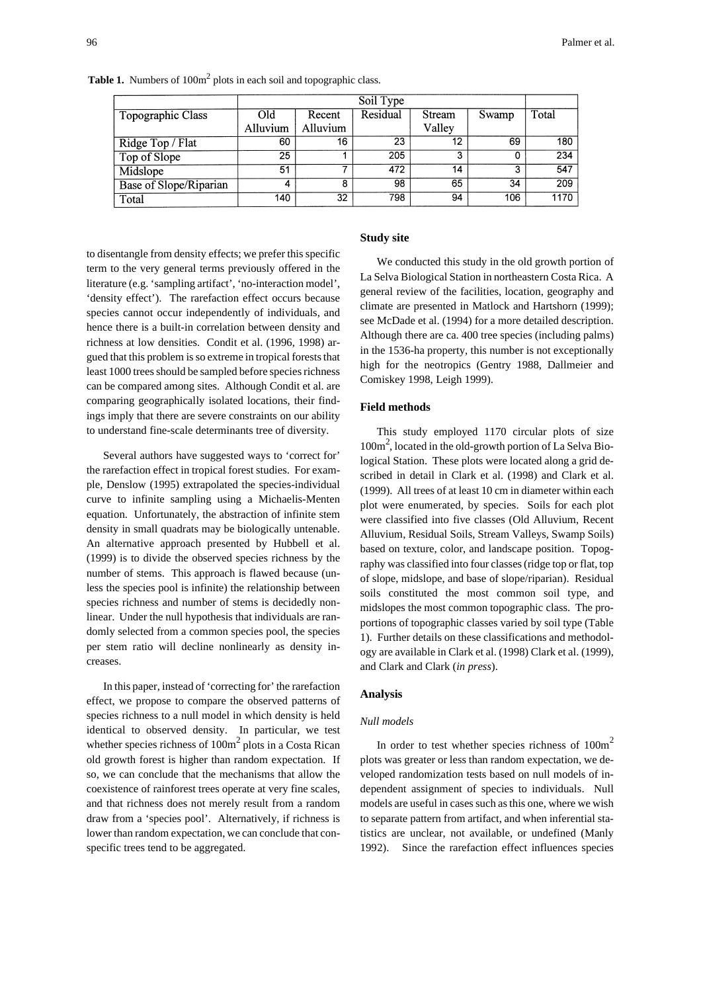| Topographic Class      | Old      | Recent   | Residual | <b>Stream</b> | Swamp | Total |
|------------------------|----------|----------|----------|---------------|-------|-------|
|                        | Alluvium | Alluvium |          | Valley        |       |       |
| Ridge Top / Flat       | 60       | 16       | 23       | 12            | 69    | 180   |
| Top of Slope           | 25       |          | 205      | 3             |       | 234   |
| Midslope               | 51       | -        | 472      | 14            |       | 547   |
| Base of Slope/Riparian | 4        | 8        | 98       | 65            | 34    | 209   |
| Total                  | 140      | 32       | 798      | 94            | 106   | 1170  |

**Table 1.** Numbers of 100m<sup>2</sup> plots in each soil and topographic class.

to disentangle from density effects; we prefer this specific term to the very general terms previously offered in the literature (e.g. 'sampling artifact', 'no-interaction model', 'density effect'). The rarefaction effect occurs because species cannot occur independently of individuals, and hence there is a built-in correlation between density and richness at low densities. Condit et al. (1996, 1998) argued that this problem is so extreme in tropical forests that least 1000 trees should be sampled before species richness can be compared among sites. Although Condit et al. are comparing geographically isolated locations, their findings imply that there are severe constraints on our ability to understand fine-scale determinants tree of diversity.

Several authors have suggested ways to 'correct for' the rarefaction effect in tropical forest studies. For example, Denslow (1995) extrapolated the species-individual curve to infinite sampling using a Michaelis-Menten equation. Unfortunately, the abstraction of infinite stem density in small quadrats may be biologically untenable. An alternative approach presented by Hubbell et al. (1999) is to divide the observed species richness by the number of stems. This approach is flawed because (unless the species pool is infinite) the relationship between species richness and number of stems is decidedly nonlinear. Under the null hypothesis that individuals are randomly selected from a common species pool, the species per stem ratio will decline nonlinearly as density increases.

In this paper, instead of 'correcting for' the rarefaction effect, we propose to compare the observed patterns of species richness to a null model in which density is held identical to observed density. In particular, we test whether species richness of  $100m<sup>2</sup>$  plots in a Costa Rican old growth forest is higher than random expectation. If so, we can conclude that the mechanisms that allow the coexistence of rainforest trees operate at very fine scales, and that richness does not merely result from a random draw from a 'species pool'. Alternatively, if richness is lower than random expectation, we can conclude that conspecific trees tend to be aggregated.

#### **Study site**

We conducted this study in the old growth portion of La Selva Biological Station in northeastern Costa Rica. A general review of the facilities, location, geography and climate are presented in Matlock and Hartshorn (1999); see McDade et al. (1994) for a more detailed description. Although there are ca. 400 tree species (including palms) in the 1536-ha property, this number is not exceptionally high for the neotropics (Gentry 1988, Dallmeier and Comiskey 1998, Leigh 1999).

## **Field methods**

This study employed 1170 circular plots of size 100m<sup>2</sup> , located in the old-growth portion of La Selva Biological Station. These plots were located along a grid described in detail in Clark et al. (1998) and Clark et al. (1999). All trees of at least 10 cm in diameter within each plot were enumerated, by species. Soils for each plot were classified into five classes (Old Alluvium, Recent Alluvium, Residual Soils, Stream Valleys, Swamp Soils) based on texture, color, and landscape position. Topography was classified into four classes (ridge top or flat, top of slope, midslope, and base of slope/riparian). Residual soils constituted the most common soil type, and midslopes the most common topographic class. The proportions of topographic classes varied by soil type (Table 1). Further details on these classifications and methodology are available in Clark et al. (1998) Clark et al. (1999), and Clark and Clark (*in press*).

# **Analysis**

#### *Null models*

In order to test whether species richness of  $100m<sup>2</sup>$ plots was greater or less than random expectation, we developed randomization tests based on null models of independent assignment of species to individuals. Null models are useful in cases such as this one, where we wish to separate pattern from artifact, and when inferential statistics are unclear, not available, or undefined (Manly 1992). Since the rarefaction effect influences species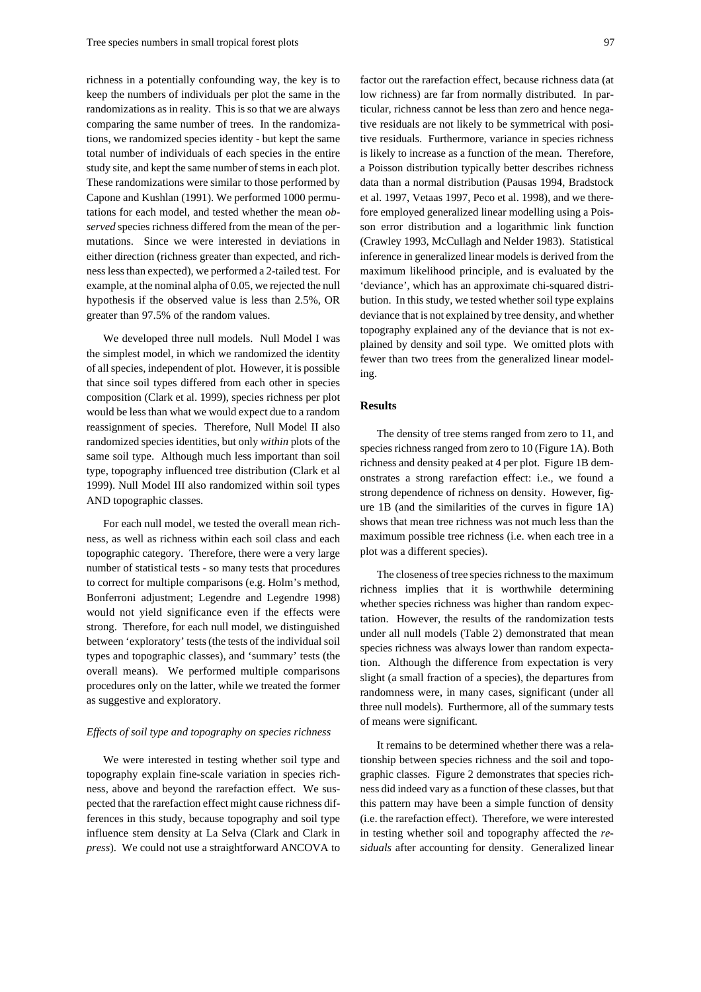richness in a potentially confounding way, the key is to keep the numbers of individuals per plot the same in the randomizations as in reality. This is so that we are always comparing the same number of trees. In the randomizations, we randomized species identity - but kept the same total number of individuals of each species in the entire study site, and kept the same number of stems in each plot. These randomizations were similar to those performed by Capone and Kushlan (1991). We performed 1000 permutations for each model, and tested whether the mean *observed* species richness differed from the mean of the permutations. Since we were interested in deviations in either direction (richness greater than expected, and richness less than expected), we performed a 2-tailed test. For example, at the nominal alpha of 0.05, we rejected the null hypothesis if the observed value is less than 2.5%, OR greater than 97.5% of the random values.

We developed three null models. Null Model I was the simplest model, in which we randomized the identity of all species, independent of plot. However, it is possible that since soil types differed from each other in species composition (Clark et al. 1999), species richness per plot would be less than what we would expect due to a random reassignment of species. Therefore, Null Model II also randomized species identities, but only *within* plots of the same soil type. Although much less important than soil type, topography influenced tree distribution (Clark et al 1999). Null Model III also randomized within soil types AND topographic classes.

For each null model, we tested the overall mean richness, as well as richness within each soil class and each topographic category. Therefore, there were a very large number of statistical tests - so many tests that procedures to correct for multiple comparisons (e.g. Holm's method, Bonferroni adjustment; Legendre and Legendre 1998) would not yield significance even if the effects were strong. Therefore, for each null model, we distinguished between 'exploratory' tests (the tests of the individual soil types and topographic classes), and 'summary' tests (the overall means). We performed multiple comparisons procedures only on the latter, while we treated the former as suggestive and exploratory.

#### *Effects of soil type and topography on species richness*

We were interested in testing whether soil type and topography explain fine-scale variation in species richness, above and beyond the rarefaction effect. We suspected that the rarefaction effect might cause richness differences in this study, because topography and soil type influence stem density at La Selva (Clark and Clark in *press*). We could not use a straightforward ANCOVA to

factor out the rarefaction effect, because richness data (at low richness) are far from normally distributed. In particular, richness cannot be less than zero and hence negative residuals are not likely to be symmetrical with positive residuals. Furthermore, variance in species richness is likely to increase as a function of the mean. Therefore, a Poisson distribution typically better describes richness data than a normal distribution (Pausas 1994, Bradstock et al. 1997, Vetaas 1997, Peco et al. 1998), and we therefore employed generalized linear modelling using a Poisson error distribution and a logarithmic link function (Crawley 1993, McCullagh and Nelder 1983). Statistical inference in generalized linear models is derived from the maximum likelihood principle, and is evaluated by the 'deviance', which has an approximate chi-squared distribution. In this study, we tested whether soil type explains deviance that is not explained by tree density, and whether topography explained any of the deviance that is not explained by density and soil type. We omitted plots with fewer than two trees from the generalized linear modeling.

#### **Results**

The density of tree stems ranged from zero to 11, and species richness ranged from zero to 10 (Figure 1A). Both richness and density peaked at 4 per plot. Figure 1B demonstrates a strong rarefaction effect: i.e., we found a strong dependence of richness on density. However, figure 1B (and the similarities of the curves in figure 1A) shows that mean tree richness was not much less than the maximum possible tree richness (i.e. when each tree in a plot was a different species).

The closeness of tree species richness to the maximum richness implies that it is worthwhile determining whether species richness was higher than random expectation. However, the results of the randomization tests under all null models (Table 2) demonstrated that mean species richness was always lower than random expectation. Although the difference from expectation is very slight (a small fraction of a species), the departures from randomness were, in many cases, significant (under all three null models). Furthermore, all of the summary tests of means were significant.

It remains to be determined whether there was a relationship between species richness and the soil and topographic classes. Figure 2 demonstrates that species richness did indeed vary as a function of these classes, but that this pattern may have been a simple function of density (i.e. the rarefaction effect). Therefore, we were interested in testing whether soil and topography affected the *residuals* after accounting for density. Generalized linear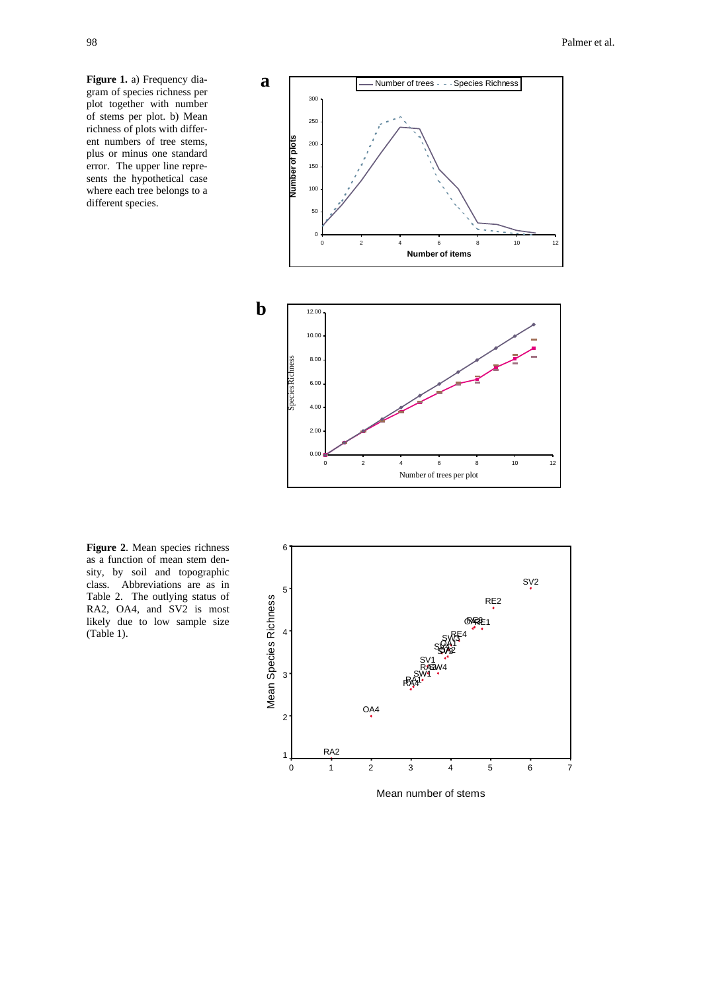**Figure 1.** a) Frequency diagram of species richness per plot together with number of stems per plot. b) Mean richness of plots with different numbers of tree stems, plus or minus one standard error. The upper line represents the hypothetical case where each tree belongs to a different species.





as a function of mean stem density, by soil and topographic class. Abbreviations are as in Table 2. The outlying status of RA2, OA4, and SV2 is most likely due to low sample size (Table 1).

Figure 2. Mean species richness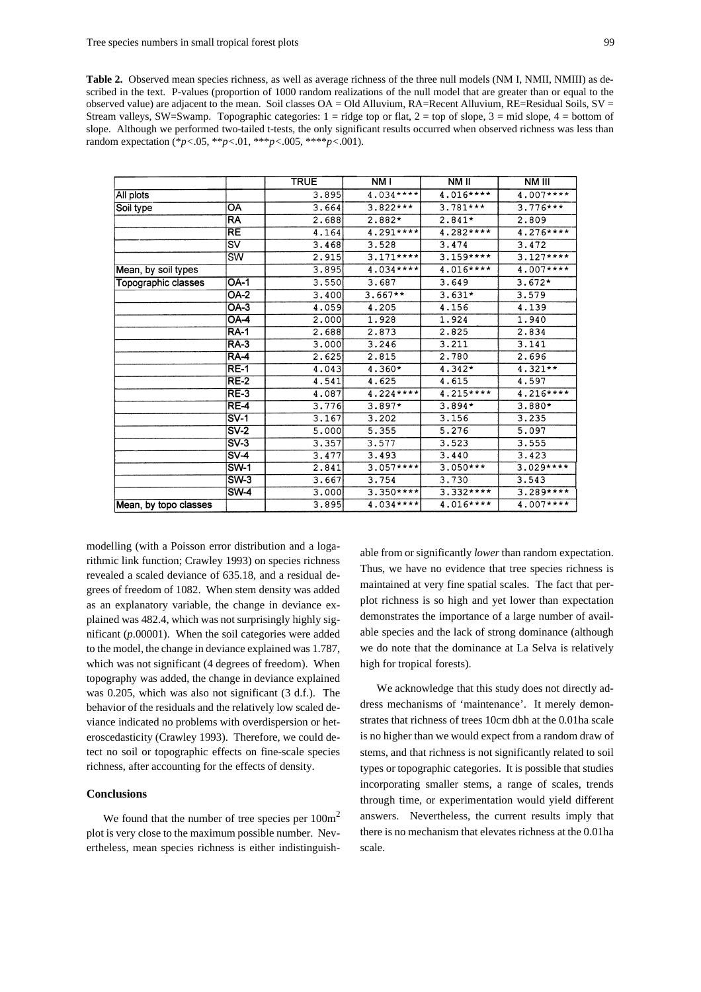**Table 2.** Observed mean species richness, as well as average richness of the three null models (NM I, NMII, NMIII) as described in the text. P-values (proportion of 1000 random realizations of the null model that are greater than or equal to the observed value) are adjacent to the mean. Soil classes OA = Old Alluvium, RA=Recent Alluvium, RE=Residual Soils, SV = Stream valleys, SW=Swamp. Topographic categories:  $1 =$  ridge top or flat,  $2 =$  top of slope,  $3 =$  mid slope,  $4 =$  bottom of slope. Although we performed two-tailed t-tests, the only significant results occurred when observed richness was less than random expectation (\**p<*.05, \*\**p<*.01, \*\*\**p<*.005, \*\*\*\**p<*.001).

|                       |                                   | <b>TRUE</b> | NM I       | NM II      | <b>NM III</b> |
|-----------------------|-----------------------------------|-------------|------------|------------|---------------|
| All plots             |                                   | 3.895       | $4.034***$ | $4.016***$ | $4.007***$    |
| Soil type             | OА                                | 3.664       | $3.822***$ | $3.781***$ | $3.776***$    |
|                       | RA                                | 2.688       | $2.882*$   | $2.841*$   | 2.809         |
|                       | <b>RE</b>                         | 4.164       | $4.291***$ | $4.282***$ | $4.276***$    |
|                       | $\overline{\mathsf{s}\mathsf{v}}$ | 3.468       | 3.528      | 3.474      | 3.472         |
|                       | SW                                | 2.915       | $3.171***$ | $3.159***$ | $3.127***$    |
| Mean, by soil types   |                                   | 3.895       | $4.034***$ | $4.016***$ | $4.007***$    |
| Topographic classes   | <b>OA-1</b>                       | 3.550       | 3.687      | 3.649      | $3.672*$      |
|                       | OA-2                              | 3.400       | $3.667**$  | $3.631*$   | 3.579         |
|                       | $OA-3$                            | 4.059       | 4.205      | 4.156      | 4.139         |
|                       | OA-4                              | 2.000       | 1.928      | 1.924      | 1.940         |
|                       | <b>RA-1</b>                       | 2.688       | 2.873      | 2.825      | 2.834         |
|                       | $RA-3$                            | 3.000       | 3.246      | 3.211      | 3.141         |
|                       | <b>RA-4</b>                       | 2.625       | 2.815      | 2.780      | 2.696         |
|                       | <b>RE-1</b>                       | 4.043       | $4.360*$   | $4.342*$   | $4.321**$     |
|                       | $RE-2$                            | 4.541       | 4.625      | 4.615      | 4.597         |
|                       | $RE-3$                            | 4.087       | $4.224***$ | $4.215***$ | $4.216***$    |
|                       | RE-4                              | 3.776       | $3.897*$   | $3.894*$   | $3.880*$      |
|                       | $SV-1$                            | 3.167       | 3.202      | 3.156      | 3.235         |
|                       | $SV-2$                            | 5.000       | 5.355      | 5.276      | 5.097         |
|                       | $SV-3$                            | 3.357       | 3.577      | 3.523      | 3.555         |
|                       | $SV-4$                            | 3.477       | 3.493      | 3.440      | 3.423         |
|                       | <b>SW-1</b>                       | 2.841       | $3.057***$ | $3.050***$ | $3.029***$    |
|                       | $SW-3$                            | 3.667       | 3.754      | 3.730      | 3.543         |
|                       | $SW-4$                            | 3.000       | $3.350***$ | $3.332***$ | $3.289***$    |
| Mean, by topo classes |                                   | 3.895       | $4.034***$ | $4.016***$ | $4.007***$    |

modelling (with a Poisson error distribution and a logarithmic link function; Crawley 1993) on species richness revealed a scaled deviance of 635.18, and a residual degrees of freedom of 1082. When stem density was added as an explanatory variable, the change in deviance explained was 482.4, which was not surprisingly highly significant (*p*.00001). When the soil categories were added to the model, the change in deviance explained was 1.787, which was not significant (4 degrees of freedom). When topography was added, the change in deviance explained was 0.205, which was also not significant (3 d.f.). The behavior of the residuals and the relatively low scaled deviance indicated no problems with overdispersion or heteroscedasticity (Crawley 1993). Therefore, we could detect no soil or topographic effects on fine-scale species richness, after accounting for the effects of density.

# **Conclusions**

We found that the number of tree species per  $100m<sup>2</sup>$ plot is very close to the maximum possible number. Nevertheless, mean species richness is either indistinguishable from or significantly *lower* than random expectation. Thus, we have no evidence that tree species richness is maintained at very fine spatial scales. The fact that perplot richness is so high and yet lower than expectation demonstrates the importance of a large number of available species and the lack of strong dominance (although we do note that the dominance at La Selva is relatively high for tropical forests).

We acknowledge that this study does not directly address mechanisms of 'maintenance'. It merely demonstrates that richness of trees 10cm dbh at the 0.01ha scale is no higher than we would expect from a random draw of stems, and that richness is not significantly related to soil types or topographic categories. It is possible that studies incorporating smaller stems, a range of scales, trends through time, or experimentation would yield different answers. Nevertheless, the current results imply that there is no mechanism that elevates richness at the 0.01ha scale.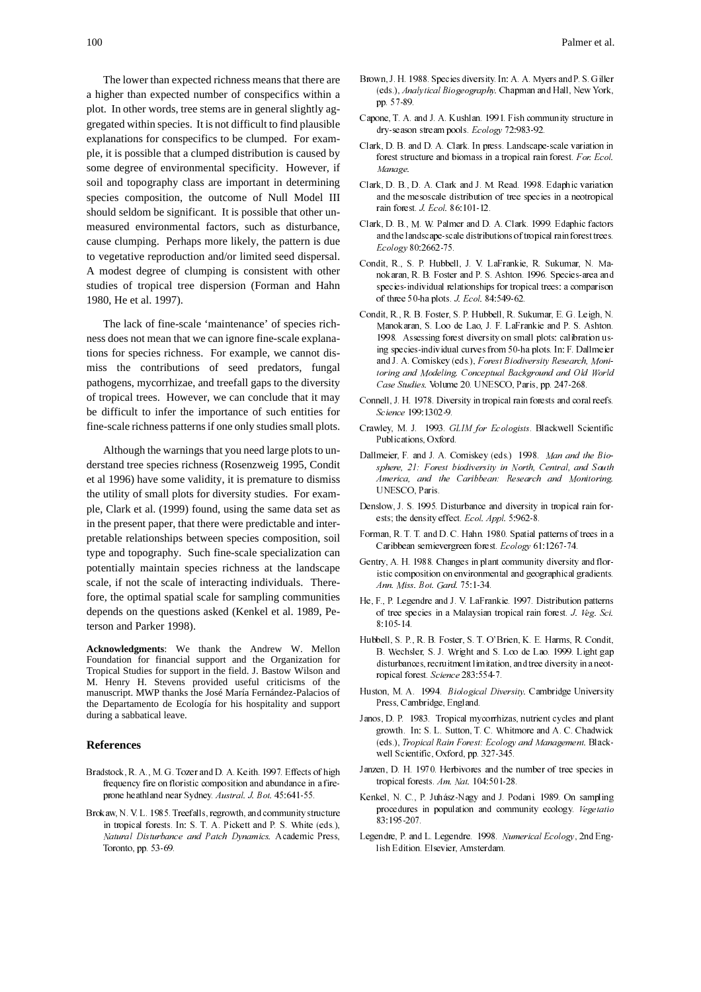The lower than expected richness means that there are a higher than expected number of conspecifics within a plot. In other words, tree stems are in general slightly aggregated within species. It is not difficult to find plausible explanations for conspecifics to be clumped. For example, it is possible that a clumped distribution is caused by some degree of environmental specificity. However, if soil and topography class are important in determining species composition, the outcome of Null Model III should seldom be significant. It is possible that other unmeasured environmental factors, such as disturbance, cause clumping. Perhaps more likely, the pattern is due to vegetative reproduction and/or limited seed dispersal. A modest degree of clumping is consistent with other studies of tropical tree dispersion (Forman and Hahn 1980, He et al. 1997).

The lack of fine-scale 'maintenance' of species richness does not mean that we can ignore fine-scale explanations for species richness. For example, we cannot dismiss the contributions of seed predators, fungal pathogens, mycorrhizae, and treefall gaps to the diversity of tropical trees. However, we can conclude that it may be difficult to infer the importance of such entities for fine-scale richness patterns if one only studies small plots.

Although the warnings that you need large plots to understand tree species richness (Rosenzweig 1995, Condit et al 1996) have some validity, it is premature to dismiss the utility of small plots for diversity studies. For example, Clark et al. (1999) found, using the same data set as in the present paper, that there were predictable and interpretable relationships between species composition, soil type and topography. Such fine-scale specialization can potentially maintain species richness at the landscape scale, if not the scale of interacting individuals. Therefore, the optimal spatial scale for sampling communities depends on the questions asked (Kenkel et al. 1989, Peterson and Parker 1998).

**Acknowledgments**: We thank the Andrew W. Mellon Foundation for financial support and the Organization for Tropical Studies for support in the field. J. Bastow Wilson and M. Henry H. Stevens provided useful criticisms of the manuscript. MWP thanks the José María Fernández-Palacios of the Departamento de Ecología for his hospitality and support during a sabbatical leave.

#### **References**

- Bradstock, R. A., M. G. Tozer and D. A. Keith. 1997. Effects of high frequency fire on floristic composition and abundance in a fireprone heathland near Sydney. Austral. J. Bot. 45:641-55.
- Brokaw, N. V. L. 1985. Treefalls, regrowth, and community structure in tropical forests. In: S. T. A. Pickett and P. S. White (eds.), Natural Disturbance and Patch Dynamics. Academic Press, Toronto, pp. 53-69.
- Brown, J. H. 1988. Species diversity. In: A. A. Myers and P. S. Giller (eds.), Analytical Biogeography. Chapman and Hall, New York, pp. 57-89.
- Capone, T. A. and J. A. Kushlan. 1991. Fish community structure in dry-season stream pools. Ecology 72:983-92.
- Clark, D. B. and D. A. Clark. In press. Landscape-scale variation in forest structure and biomass in a tropical rain forest. For. Ecol. Manage.
- Clark, D. B., D. A. Clark and J. M. Read. 1998. Edaphic variation and the mesoscale distribution of tree species in a neotropical rain forest. J. Ecol. 86:101-12.
- Clark, D. B., M. W. Palmer and D. A. Clark. 1999. Edaphic factors and the landscape-scale distributions of tropical rain forest trees. Ecology 80:2662-75.
- Condit, R., S. P. Hubbell, J. V. LaFrankie, R. Sukumar, N. Manokaran, R. B. Foster and P. S. Ashton. 1996. Species-area and species-individual relationships for tropical trees: a comparison of three 50-ha plots. J. Ecol. 84:549-62.
- Condit, R., R. B. Foster, S. P. Hubbell, R. Sukumar, E. G. Leigh, N. Manokaran, S. Loo de Lao, J. F. LaFrankie and P. S. Ashton. 1998. Assessing forest diversity on small plots: calibration using species-individual curves from 50-ha plots. In: F. Dallmeier and J. A. Comiskey (eds.), Forest Biodiversity Research, Monitoring and Modeling. Conceptual Background and Old World Case Studies. Volume 20. UNESCO, Paris, pp. 247-268.
- Connell, J. H. 1978. Diversity in tropical rain forests and coral reefs. Science 199 1302-9.
- Crawley, M. J. 1993. GLIM for Ecologists. Blackwell Scientific Publications, Oxford.
- Dallmeier, F. and J. A. Comiskey (eds.) 1998. Man and the Biosphere, 21: Forest biodiversity in North, Central, and South America, and the Caribbean: Research and Monitoring. UNESCO, Paris.
- Denslow, J. S. 1995. Disturbance and diversity in tropical rain forests; the density effect. Ecol. Appl. 5:962-8.
- Forman, R. T. T. and D. C. Hahn. 1980. Spatial patterns of trees in a Caribbean semievergreen forest. Ecology 61:1267-74.
- Gentry, A. H. 1988. Changes in plant community diversity and floristic composition on environmental and geographical gradients. Ann. Miss. Bot. Gard. 75:1-34.
- He, F., P. Legendre and J. V. LaFrankie. 1997. Distribution patterns of tree species in a Malaysian tropical rain forest. J. Veg. Sci. 8:105-14.
- Hubbell, S. P., R. B. Foster, S. T. O'Brien, K. E. Harms, R. Condit, B. Wechsler, S. J. Wright and S. Loo de Lao. 1999. Light gap disturbances, recruitment limitation, and tree diversity in a neotropical forest. Science 283:554-7.
- Huston, M. A. 1994. Biological Diversity. Cambridge University Press, Cambridge, England.
- Janos, D. P. 1983. Tropical mycorrhizas, nutrient cycles and plant growth. In: S. L. Sutton, T. C. Whitmore and A. C. Chadwick (eds.), Tropical Rain Forest: Ecology and Management. Blackwell Scientific, Oxford, pp. 327-345.
- Janzen, D. H. 1970. Herbivores and the number of tree species in tropical forests. Am. Nat. 104:501-28.
- Kenkel, N. C., P. Juhász-Nagy and J. Podani. 1989. On sampling procedures in population and community ecology. Vegetatio 83:195-207.
- Legendre, P. and L. Legendre. 1998. Numerical Ecology, 2nd English Edition. Elsevier, Amsterdam.